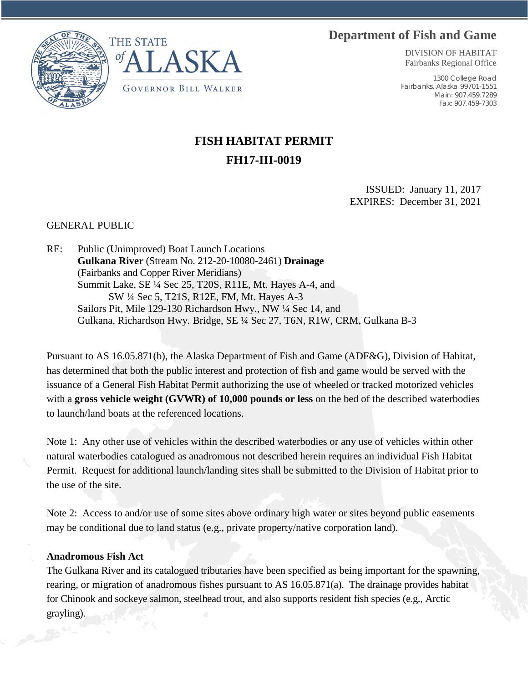## **Department of Fish and Game**





DIVISION OF HABITAT Fairbanks Regional Office

1300 College Road Fairbanks, Alaska 99701-1551 Main: 907.459.7289 Fax: 907.459-7303

## **FISH HABITAT PERMIT FH17-III-0019**

ISSUED: January 11, 2017 EXPIRES: December 31, 2021

## GENERAL PUBLIC

RE: Public (Unimproved) Boat Launch Locations **Gulkana River** (Stream No. 212-20-10080-2461) **Drainage** (Fairbanks and Copper River Meridians) Summit Lake, SE ¼ Sec 25, T20S, R11E, Mt. Hayes A-4, and SW ¼ Sec 5, T21S, R12E, FM, Mt. Hayes A-3 Sailors Pit, Mile 129-130 Richardson Hwy., NW ¼ Sec 14, and Gulkana, Richardson Hwy. Bridge, SE ¼ Sec 27, T6N, R1W, CRM, Gulkana B-3

Pursuant to AS 16.05.871(b), the Alaska Department of Fish and Game (ADF&G), Division of Habitat, has determined that both the public interest and protection of fish and game would be served with the issuance of a General Fish Habitat Permit authorizing the use of wheeled or tracked motorized vehicles with a **gross vehicle weight (GVWR) of 10,000 pounds or less** on the bed of the described waterbodies to launch/land boats at the referenced locations.

Note 1: Any other use of vehicles within the described waterbodies or any use of vehicles within other natural waterbodies catalogued as anadromous not described herein requires an individual Fish Habitat Permit. Request for additional launch/landing sites shall be submitted to the Division of Habitat prior to the use of the site.

Note 2: Access to and/or use of some sites above ordinary high water or sites beyond public easements may be conditional due to land status (e.g., private property/native corporation land).

## **Anadromous Fish Act**

The Gulkana River and its catalogued tributaries have been specified as being important for the spawning, rearing, or migration of anadromous fishes pursuant to AS 16.05.871(a). The drainage provides habitat for Chinook and sockeye salmon, steelhead trout, and also supports resident fish species (e.g., Arctic grayling).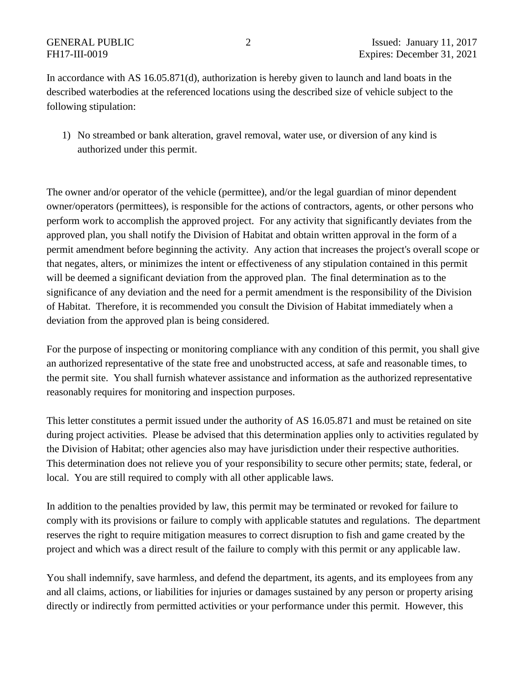In accordance with AS 16.05.871(d), authorization is hereby given to launch and land boats in the described waterbodies at the referenced locations using the described size of vehicle subject to the following stipulation:

1) No streambed or bank alteration, gravel removal, water use, or diversion of any kind is authorized under this permit.

The owner and/or operator of the vehicle (permittee), and/or the legal guardian of minor dependent owner/operators (permittees), is responsible for the actions of contractors, agents, or other persons who perform work to accomplish the approved project. For any activity that significantly deviates from the approved plan, you shall notify the Division of Habitat and obtain written approval in the form of a permit amendment before beginning the activity. Any action that increases the project's overall scope or that negates, alters, or minimizes the intent or effectiveness of any stipulation contained in this permit will be deemed a significant deviation from the approved plan. The final determination as to the significance of any deviation and the need for a permit amendment is the responsibility of the Division of Habitat. Therefore, it is recommended you consult the Division of Habitat immediately when a deviation from the approved plan is being considered.

For the purpose of inspecting or monitoring compliance with any condition of this permit, you shall give an authorized representative of the state free and unobstructed access, at safe and reasonable times, to the permit site. You shall furnish whatever assistance and information as the authorized representative reasonably requires for monitoring and inspection purposes.

This letter constitutes a permit issued under the authority of AS 16.05.871 and must be retained on site during project activities. Please be advised that this determination applies only to activities regulated by the Division of Habitat; other agencies also may have jurisdiction under their respective authorities. This determination does not relieve you of your responsibility to secure other permits; state, federal, or local. You are still required to comply with all other applicable laws.

In addition to the penalties provided by law, this permit may be terminated or revoked for failure to comply with its provisions or failure to comply with applicable statutes and regulations. The department reserves the right to require mitigation measures to correct disruption to fish and game created by the project and which was a direct result of the failure to comply with this permit or any applicable law.

You shall indemnify, save harmless, and defend the department, its agents, and its employees from any and all claims, actions, or liabilities for injuries or damages sustained by any person or property arising directly or indirectly from permitted activities or your performance under this permit. However, this